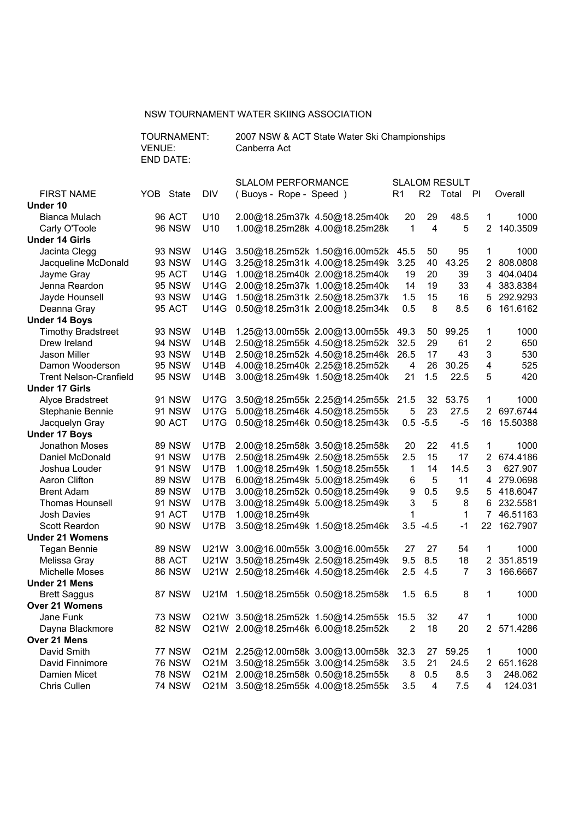### NSW TOURNAMENT WATER SKIING ASSOCIATION

|                               | TOURNAMENT:<br>2007 NSW & ACT State Water Ski Championships<br>VENUE:<br>Canberra Act<br><b>END DATE:</b> |               |             |                           |                        |                                         |                      |                |          |                |             |
|-------------------------------|-----------------------------------------------------------------------------------------------------------|---------------|-------------|---------------------------|------------------------|-----------------------------------------|----------------------|----------------|----------|----------------|-------------|
|                               |                                                                                                           |               |             | <b>SLALOM PERFORMANCE</b> |                        |                                         | <b>SLALOM RESULT</b> |                |          |                |             |
| <b>FIRST NAME</b>             |                                                                                                           | YOB State     | <b>DIV</b>  |                           | (Buoys - Rope - Speed) |                                         | R <sub>1</sub>       | R <sub>2</sub> | Total PI |                | Overall     |
| Under 10                      |                                                                                                           |               |             |                           |                        |                                         |                      |                |          |                |             |
| Bianca Mulach                 |                                                                                                           | 96 ACT        | U10         |                           |                        | 2.00@18.25m37k 4.50@18.25m40k           | 20                   | 29             | 48.5     | 1              | 1000        |
| Carly O'Toole                 |                                                                                                           | <b>96 NSW</b> | U10         |                           |                        | 1.00@18.25m28k 4.00@18.25m28k           | 1                    | 4              | 5        | $\overline{2}$ | 140.3509    |
| <b>Under 14 Girls</b>         |                                                                                                           |               |             |                           |                        |                                         |                      |                |          |                |             |
| Jacinta Clegg                 |                                                                                                           | 93 NSW        | U14G        |                           |                        | 3.50@18.25m52k 1.50@16.00m52k           | 45.5                 | 50             | 95       | 1              | 1000        |
| Jacqueline McDonald           |                                                                                                           | 93 NSW        | U14G        |                           |                        | 3.25@18.25m31k 4.00@18.25m49k           | 3.25                 | 40             | 43.25    | 2              | 808.0808    |
| Jayme Gray                    |                                                                                                           | 95 ACT        | <b>U14G</b> |                           |                        | 1.00@18.25m40k 2.00@18.25m40k           | 19                   | 20             | 39       | 3              | 404.0404    |
| Jenna Reardon                 |                                                                                                           | 95 NSW        | <b>U14G</b> |                           |                        | 2.00@18.25m37k 1.00@18.25m40k           | 14                   | 19             | 33       | 4              | 383.8384    |
| Jayde Hounsell                |                                                                                                           | 93 NSW        | U14G        |                           |                        | 1.50@18.25m31k 2.50@18.25m37k           | 1.5                  | 15             | 16       | 5              | 292.9293    |
| Deanna Gray                   |                                                                                                           | <b>95 ACT</b> | <b>U14G</b> |                           |                        | 0.50@18.25m31k 2.00@18.25m34k           | 0.5                  | 8              | 8.5      | 6              | 161.6162    |
| <b>Under 14 Boys</b>          |                                                                                                           |               |             |                           |                        |                                         |                      |                |          |                |             |
| <b>Timothy Bradstreet</b>     |                                                                                                           | 93 NSW        | <b>U14B</b> |                           |                        | 1.25@13.00m55k 2.00@13.00m55k           | 49.3                 | 50             | 99.25    | 1              | 1000        |
| Drew Ireland                  |                                                                                                           | <b>94 NSW</b> | <b>U14B</b> |                           |                        | 2.50@18.25m55k 4.50@18.25m52k           | 32.5                 | 29             | 61       | $\overline{2}$ | 650         |
| Jason Miller                  |                                                                                                           | 93 NSW        | U14B        |                           |                        | 2.50@18.25m52k 4.50@18.25m46k           | 26.5                 | 17             | 43       | 3              | 530         |
| Damon Wooderson               |                                                                                                           | <b>95 NSW</b> | U14B        |                           |                        | 4.00@18.25m40k 2.25@18.25m52k           | 4                    | 26             | 30.25    | 4              | 525         |
| <b>Trent Nelson-Cranfield</b> |                                                                                                           | <b>95 NSW</b> | <b>U14B</b> |                           |                        | 3.00@18.25m49k 1.50@18.25m40k           | 21                   | 1.5            | 22.5     | 5              | 420         |
| <b>Under 17 Girls</b>         |                                                                                                           |               |             |                           |                        |                                         |                      |                |          |                |             |
| Alyce Bradstreet              |                                                                                                           | 91 NSW        | <b>U17G</b> |                           |                        | 3.50@18.25m55k 2.25@14.25m55k 21.5      |                      | 32             | 53.75    | 1              | 1000        |
| Stephanie Bennie              |                                                                                                           | <b>91 NSW</b> | <b>U17G</b> |                           |                        | 5.00@18.25m46k 4.50@18.25m55k           | 5                    | 23             | 27.5     | 2              | 697.6744    |
| Jacquelyn Gray                |                                                                                                           | 90 ACT        | <b>U17G</b> |                           |                        | 0.50@18.25m46k 0.50@18.25m43k           |                      | $0.5 - 5.5$    | $-5$     | 16             | 15.50388    |
| <b>Under 17 Boys</b>          |                                                                                                           |               |             |                           |                        |                                         |                      |                |          |                |             |
| Jonathon Moses                |                                                                                                           | <b>89 NSW</b> | <b>U17B</b> |                           |                        | 2.00@18.25m58k 3.50@18.25m58k           | 20                   | 22             | 41.5     | 1              | 1000        |
| Daniel McDonald               |                                                                                                           | <b>91 NSW</b> | <b>U17B</b> |                           |                        | 2.50@18.25m49k 2.50@18.25m55k           | 2.5                  | 15             | 17       | 2              | 674.4186    |
| Joshua Louder                 |                                                                                                           | 91 NSW        | <b>U17B</b> |                           |                        | 1.00@18.25m49k 1.50@18.25m55k           | $\mathbf{1}$         | 14             | 14.5     | 3              | 627.907     |
| Aaron Clifton                 |                                                                                                           | <b>89 NSW</b> | <b>U17B</b> |                           |                        | 6.00@18.25m49k 5.00@18.25m49k           | 6                    | 5              | 11       | 4              | 279.0698    |
| <b>Brent Adam</b>             |                                                                                                           | <b>89 NSW</b> | <b>U17B</b> |                           |                        | 3.00@18.25m52k 0.50@18.25m49k           | 9                    | 0.5            | 9.5      | 5              | 418.6047    |
| <b>Thomas Hounsell</b>        |                                                                                                           | <b>91 NSW</b> | <b>U17B</b> |                           |                        | 3.00@18.25m49k 5.00@18.25m49k           | 3                    | 5              | 8        | 6              | 232.5581    |
| <b>Josh Davies</b>            |                                                                                                           | 91 ACT        | <b>U17B</b> |                           | 1.00@18.25m49k         |                                         | 1                    |                | 1        | 7              | 46.51163    |
| Scott Reardon                 |                                                                                                           | <b>90 NSW</b> | <b>U17B</b> |                           |                        | 3.50@18.25m49k 1.50@18.25m46k           | 3.5                  | $-4.5$         | $-1$     |                | 22 162.7907 |
| <b>Under 21 Womens</b>        |                                                                                                           |               |             |                           |                        |                                         |                      |                |          |                |             |
| Tegan Bennie                  |                                                                                                           | <b>89 NSW</b> |             |                           |                        | U21W 3.00@16.00m55k 3.00@16.00m55k      | 27                   | 27             | 54       | 1              | 1000        |
| Melissa Gray                  |                                                                                                           | 88 ACT        |             |                           |                        | U21W 3.50@18.25m49k 2.50@18.25m49k      | 9.5                  | 8.5            | 18       | $\overline{2}$ | 351.8519    |
| Michelle Moses                |                                                                                                           | <b>86 NSW</b> |             |                           |                        | U21W 2.50@18.25m46k 4.50@18.25m46k      |                      | $2.5$ 4.5      | 7        |                | 3 166.6667  |
| Under 21 Mens                 |                                                                                                           |               |             |                           |                        |                                         |                      |                |          |                |             |
| <b>Brett Saggus</b>           |                                                                                                           | 87 NSW        | U21M        |                           |                        | 1.50@18.25m55k 0.50@18.25m58k           |                      | $1.5$ 6.5      | 8        | 1              | 1000        |
| Over 21 Womens                |                                                                                                           |               |             |                           |                        |                                         |                      |                |          |                |             |
| Jane Funk                     |                                                                                                           | <b>73 NSW</b> |             |                           |                        | O21W 3.50@18.25m52k 1.50@14.25m55k      | 15.5                 | 32             | 47       | 1              | 1000        |
| Dayna Blackmore               |                                                                                                           | <b>82 NSW</b> |             |                           |                        | O21W 2.00@18.25m46k 6.00@18.25m52k      | $\overline{2}$       | 18             | 20       |                | 2 571.4286  |
| Over 21 Mens                  |                                                                                                           |               |             |                           |                        |                                         |                      |                |          |                |             |
| David Smith                   |                                                                                                           | 77 NSW        |             |                           |                        | O21M 2.25@12.00m58k 3.00@13.00m58k 32.3 |                      | 27             | 59.25    | 1              | 1000        |
| David Finnimore               |                                                                                                           | <b>76 NSW</b> |             |                           |                        | O21M 3.50@18.25m55k 3.00@14.25m58k      | 3.5                  | 21             | 24.5     | 2              | 651.1628    |
| Damien Micet                  |                                                                                                           | <b>78 NSW</b> |             |                           |                        | O21M 2.00@18.25m58k 0.50@18.25m55k      | 8                    | 0.5            | 8.5      | 3              | 248.062     |
| Chris Cullen                  |                                                                                                           | <b>74 NSW</b> |             |                           |                        | O21M 3.50@18.25m55k 4.00@18.25m55k      | 3.5                  | 4              | 7.5      | 4              | 124.031     |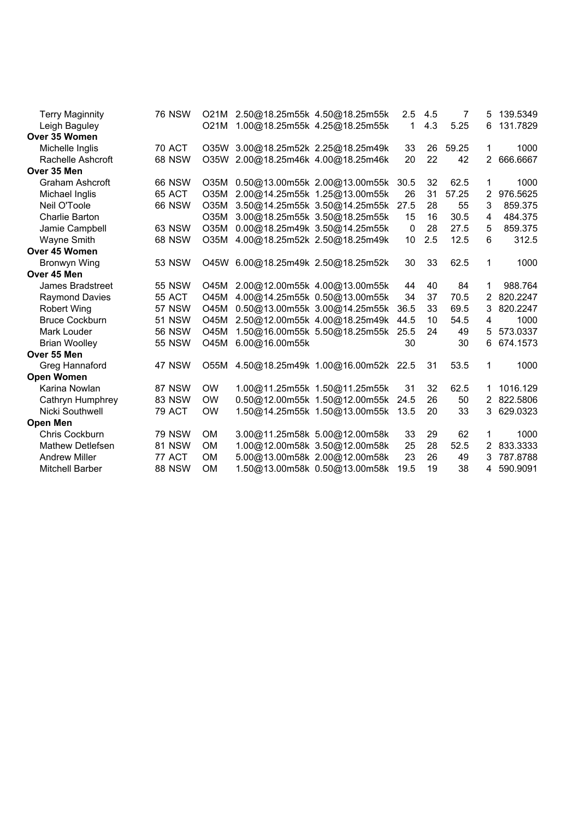| <b>Terry Maginnity</b> | <b>76 NSW</b> |             | O21M 2.50@18.25m55k 4.50@18.25m55k |                                    | 2.5  | 4.5 | 7     | 5 | 139.5349 |
|------------------------|---------------|-------------|------------------------------------|------------------------------------|------|-----|-------|---|----------|
| Leigh Baguley          |               | O21M        |                                    | 1.00@18.25m55k 4.25@18.25m55k      | 1    | 4.3 | 5.25  | 6 | 131.7829 |
| Over 35 Women          |               |             |                                    |                                    |      |     |       |   |          |
| Michelle Inglis        | <b>70 ACT</b> | O35W        |                                    | 3.00@18.25m52k 2.25@18.25m49k      | 33   | 26  | 59.25 | 1 | 1000     |
| Rachelle Ashcroft      | <b>68 NSW</b> | O35W        |                                    | 2.00@18.25m46k 4.00@18.25m46k      | 20   | 22  | 42    | 2 | 666.6667 |
| Over 35 Men            |               |             |                                    |                                    |      |     |       |   |          |
| <b>Graham Ashcroft</b> | <b>66 NSW</b> | O35M        |                                    | 0.50@13.00m55k 2.00@13.00m55k      | 30.5 | 32  | 62.5  | 1 | 1000     |
| Michael Inglis         | 65 ACT        | O35M        |                                    | 2.00@14.25m55k 1.25@13.00m55k      | 26   | 31  | 57.25 | 2 | 976.5625 |
| Neil O'Toole           | <b>66 NSW</b> | O35M        |                                    | 3.50@14.25m55k 3.50@14.25m55k      | 27.5 | 28  | 55    | 3 | 859.375  |
| Charlie Barton         |               | O35M        |                                    | 3.00@18.25m55k 3.50@18.25m55k      | 15   | 16  | 30.5  | 4 | 484.375  |
| Jamie Campbell         | <b>63 NSW</b> | O35M        |                                    | 0.00@18.25m49k 3.50@14.25m55k      | 0    | 28  | 27.5  | 5 | 859.375  |
| Wayne Smith            | <b>68 NSW</b> | O35M        |                                    | 4.00@18.25m52k 2.50@18.25m49k      | 10   | 2.5 | 12.5  | 6 | 312.5    |
| Over 45 Women          |               |             |                                    |                                    |      |     |       |   |          |
| Bronwyn Wing           | <b>53 NSW</b> | O45W        |                                    | 6.00@18.25m49k 2.50@18.25m52k      | 30   | 33  | 62.5  | 1 | 1000     |
| Over 45 Men            |               |             |                                    |                                    |      |     |       |   |          |
| James Bradstreet       | <b>55 NSW</b> | <b>O45M</b> |                                    | 2.00@12.00m55k 4.00@13.00m55k      | 44   | 40  | 84    | 1 | 988.764  |
| <b>Raymond Davies</b>  | 55 ACT        | O45M        |                                    | 4.00@14.25m55k 0.50@13.00m55k      | 34   | 37  | 70.5  | 2 | 820.2247 |
| <b>Robert Wing</b>     | <b>57 NSW</b> | <b>O45M</b> |                                    | 0.50@13.00m55k 3.00@14.25m55k      | 36.5 | 33  | 69.5  | 3 | 820.2247 |
| <b>Bruce Cockburn</b>  | <b>51 NSW</b> | <b>O45M</b> |                                    | 2.50@12.00m55k 4.00@18.25m49k      | 44.5 | 10  | 54.5  | 4 | 1000     |
| Mark Louder            | <b>56 NSW</b> | <b>O45M</b> |                                    | 1.50@16.00m55k 5.50@18.25m55k      | 25.5 | 24  | 49    | 5 | 573.0337 |
| <b>Brian Woolley</b>   | <b>55 NSW</b> | O45M        | 6.00@16.00m55k                     |                                    | 30   |     | 30    | 6 | 674.1573 |
| Over 55 Men            |               |             |                                    |                                    |      |     |       |   |          |
| Greg Hannaford         | 47 NSW        | O55M        |                                    | 4.50@18.25m49k 1.00@16.00m52k 22.5 |      | 31  | 53.5  | 1 | 1000     |
| <b>Open Women</b>      |               |             |                                    |                                    |      |     |       |   |          |
| Karina Nowlan          | 87 NSW        | <b>OW</b>   |                                    | 1.00@11.25m55k 1.50@11.25m55k      | 31   | 32  | 62.5  | 1 | 1016.129 |
| Cathryn Humphrey       | <b>83 NSW</b> | <b>OW</b>   |                                    | 0.50@12.00m55k 1.50@12.00m55k      | 24.5 | 26  | 50    |   | 822.5806 |
| Nicki Southwell        | <b>79 ACT</b> | <b>OW</b>   |                                    | 1.50@14.25m55k 1.50@13.00m55k      | 13.5 | 20  | 33    | 3 | 629.0323 |
| <b>Open Men</b>        |               |             |                                    |                                    |      |     |       |   |          |
| Chris Cockburn         | <b>79 NSW</b> | OM          |                                    | 3.00@11.25m58k 5.00@12.00m58k      | 33   | 29  | 62    | 1 | 1000     |
| Mathew Detlefsen       | <b>81 NSW</b> | <b>OM</b>   |                                    | 1.00@12.00m58k 3.50@12.00m58k      | 25   | 28  | 52.5  | 2 | 833.3333 |
| <b>Andrew Miller</b>   | 77 ACT        | <b>OM</b>   |                                    | 5.00@13.00m58k 2.00@12.00m58k      | 23   | 26  | 49    | 3 | 787.8788 |
| <b>Mitchell Barber</b> | <b>88 NSW</b> | <b>OM</b>   |                                    | 1.50@13.00m58k 0.50@13.00m58k      | 19.5 | 19  | 38    | 4 | 590.9091 |
|                        |               |             |                                    |                                    |      |     |       |   |          |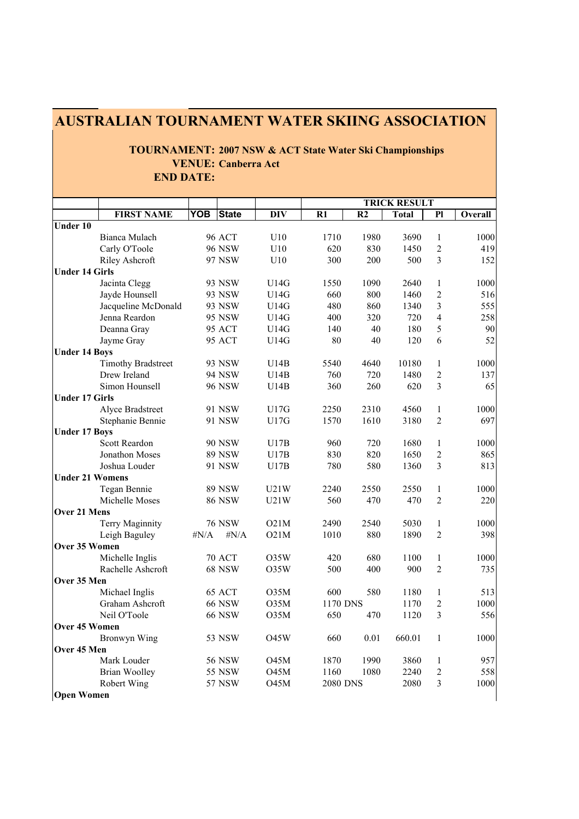|                        | <b>TOURNAMENT: 2007 NSW &amp; ACT State Water Ski Championships</b> |            |                            |             |          |                |              |                |         |  |
|------------------------|---------------------------------------------------------------------|------------|----------------------------|-------------|----------|----------------|--------------|----------------|---------|--|
|                        |                                                                     |            | <b>VENUE: Canberra Act</b> |             |          |                |              |                |         |  |
|                        | <b>END DATE:</b>                                                    |            |                            |             |          |                |              |                |         |  |
|                        | <b>TRICK RESULT</b>                                                 |            |                            |             |          |                |              |                |         |  |
|                        | <b>FIRST NAME</b>                                                   | <b>YOB</b> | <b>State</b>               | <b>DIV</b>  | R1       | R <sub>2</sub> | <b>Total</b> | P1             | Overall |  |
| <b>Under 10</b>        |                                                                     |            |                            |             |          |                |              |                |         |  |
|                        | Bianca Mulach                                                       |            | <b>96 ACT</b>              | U10         | 1710     | 1980           | 3690         | 1              | 1000    |  |
|                        | Carly O'Toole                                                       |            | <b>96 NSW</b>              | U10         | 620      | 830            | 1450         | $\overline{2}$ | 419     |  |
|                        | Riley Ashcroft                                                      |            | 97 NSW                     | U10         | 300      | 200            | 500          | $\overline{3}$ | 152     |  |
| <b>Under 14 Girls</b>  |                                                                     |            |                            |             |          |                |              |                |         |  |
|                        | Jacinta Clegg                                                       |            | 93 NSW                     | U14G        | 1550     | 1090           | 2640         | 1              | 1000    |  |
|                        | Jayde Hounsell                                                      |            | 93 NSW                     | U14G        | 660      | 800            | 1460         | $\sqrt{2}$     | 516     |  |
|                        | Jacqueline McDonald                                                 |            | 93 NSW                     | U14G        | 480      | 860            | 1340         | $\overline{3}$ | 555     |  |
|                        | Jenna Reardon                                                       |            | 95 NSW                     | U14G        | 400      | 320            | 720          | $\overline{4}$ | 258     |  |
|                        | Deanna Gray                                                         |            | <b>95 ACT</b>              | U14G        | 140      | 40             | 180          | 5              | 90      |  |
|                        | Jayme Gray                                                          |            | 95 ACT                     | U14G        | 80       | 40             | 120          | 6              | 52      |  |
| <b>Under 14 Boys</b>   |                                                                     |            |                            |             |          |                |              |                |         |  |
|                        | <b>Timothy Bradstreet</b>                                           |            | 93 NSW                     | U14B        | 5540     | 4640           | 10180        | 1              | 1000    |  |
|                        | Drew Ireland                                                        |            | 94 NSW                     | U14B        | 760      | 720            | 1480         | $\overline{2}$ | 137     |  |
|                        | Simon Hounsell                                                      |            | <b>96 NSW</b>              | U14B        | 360      | 260            | 620          | 3              | 65      |  |
| <b>Under 17 Girls</b>  |                                                                     |            |                            |             |          |                |              |                |         |  |
|                        | Alyce Bradstreet                                                    |            | 91 NSW                     | U17G        | 2250     | 2310           | 4560         | 1              | 1000    |  |
|                        | Stephanie Bennie                                                    |            | 91 NSW                     | U17G        | 1570     | 1610           | 3180         | $\overline{2}$ | 697     |  |
| <b>Under 17 Boys</b>   |                                                                     |            |                            |             |          |                |              |                |         |  |
|                        | Scott Reardon                                                       |            | <b>90 NSW</b>              | U17B        | 960      | 720            | 1680         | 1              | 1000    |  |
|                        | Jonathon Moses                                                      |            | <b>89 NSW</b>              | U17B        | 830      | 820            | 1650         | $\sqrt{2}$     | 865     |  |
|                        | Joshua Louder                                                       |            | 91 NSW                     | U17B        | 780      | 580            | 1360         | 3              | 813     |  |
| <b>Under 21 Womens</b> |                                                                     |            |                            |             |          |                |              |                |         |  |
|                        | Tegan Bennie                                                        |            | <b>89 NSW</b>              | U21W        | 2240     | 2550           | 2550         | 1              | 1000    |  |
|                        | Michelle Moses                                                      |            | <b>86 NSW</b>              | U21W        | 560      | 470            | 470          | 2              | 220     |  |
| Over 21 Mens           |                                                                     |            |                            |             |          |                |              |                |         |  |
|                        | Terry Maginnity                                                     |            | <b>76 NSW</b>              | O21M        | 2490     | 2540           | 5030         | 1              | 1000    |  |
|                        | Leigh Baguley                                                       | $\#N/A$    | $\sharp N/A$               | O21M        | 1010     | 880            | 1890         | $\overline{2}$ | 398     |  |
| Over 35 Women          |                                                                     |            |                            |             |          |                |              |                |         |  |
|                        | Michelle Inglis                                                     |            | 70 ACT                     | O35W        | 420      | 680            | 1100         | 1              | 1000    |  |
|                        | Rachelle Ashcroft                                                   |            | 68 NSW                     | O35W        | 500      | 400            | 900          | $\sqrt{2}$     | 735     |  |
| Over 35 Men            |                                                                     |            |                            |             |          |                |              |                |         |  |
|                        | Michael Inglis                                                      |            | 65 ACT                     | O35M        | 600      | 580            | 1180         | $\mathbf{1}$   | 513     |  |
|                        | Graham Ashcroft                                                     |            | <b>66 NSW</b>              | O35M        | 1170 DNS |                | 1170         | $\sqrt{2}$     | 1000    |  |
|                        | Neil O'Toole                                                        |            | <b>66 NSW</b>              | O35M        | 650      | 470            | 1120         | $\overline{3}$ | 556     |  |
| Over 45 Women          |                                                                     |            |                            |             |          |                |              |                |         |  |
|                        | Bronwyn Wing                                                        |            | 53 NSW                     | <b>O45W</b> | 660      | 0.01           | 660.01       | $\mathbf{1}$   | 1000    |  |
| Over 45 Men            |                                                                     |            |                            |             |          |                |              |                |         |  |
|                        | Mark Louder                                                         |            | <b>56 NSW</b>              | O45M        | 1870     | 1990           | 3860         | 1              | 957     |  |
|                        | <b>Brian Woolley</b>                                                |            | 55 NSW                     | O45M        | 1160     | 1080           | 2240         | $\sqrt{2}$     | 558     |  |
|                        | Robert Wing                                                         |            | <b>57 NSW</b>              | O45M        | 2080 DNS |                | 2080         | $\mathfrak{Z}$ | 1000    |  |
| <b>Open Women</b>      |                                                                     |            |                            |             |          |                |              |                |         |  |

# **AUSTRALIAN TOURNAMENT WATER SKIING ASSOCIATION**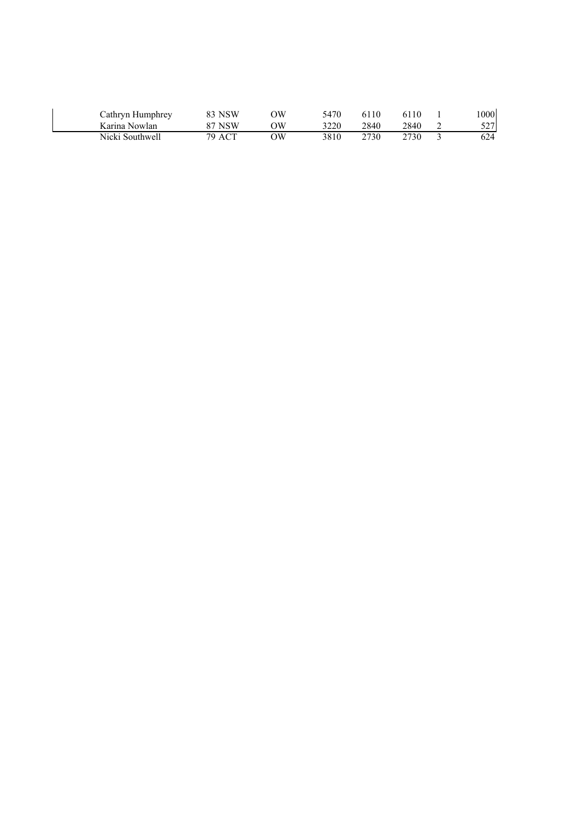| Cathryn Humphrey | 83 NSW | ЭW | 5470 | 6110 | 6110  | .000 |
|------------------|--------|----|------|------|-------|------|
| Karina Nowlan    | 87 NSW | ЭW | 3220 | 2840 | 2840. | 5271 |
| Nicki Southwell  | 79 ACT | ЭW | 3810 | 2730 | 2730  | 624  |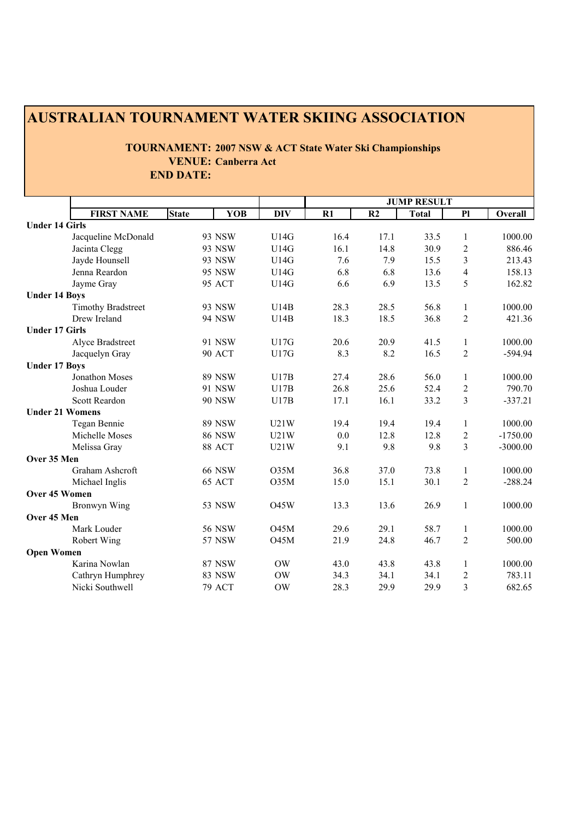## **AUSTRALIAN TOURNAMENT WATER SKIING ASSOCIATION**

## **TOURNAMENT: 2007 NSW & ACT State Water Ski Championships VENUE: Canberra Act END DATE:**

|                        | <b>FIRST NAME</b>         | <b>State</b> | <b>YOB</b>    | <b>DIV</b>  | R1   | R2   | <b>Total</b> | P1             | Overall    |
|------------------------|---------------------------|--------------|---------------|-------------|------|------|--------------|----------------|------------|
| <b>Under 14 Girls</b>  |                           |              |               |             |      |      |              |                |            |
|                        | Jacqueline McDonald       |              | 93 NSW        | U14G        | 16.4 | 17.1 | 33.5         | 1              | 1000.00    |
|                        | Jacinta Clegg             |              | 93 NSW        | U14G        | 16.1 | 14.8 | 30.9         | $\overline{c}$ | 886.46     |
|                        | Jayde Hounsell            |              | 93 NSW        | U14G        | 7.6  | 7.9  | 15.5         | 3              | 213.43     |
|                        | Jenna Reardon             |              | 95 NSW        | U14G        | 6.8  | 6.8  | 13.6         | $\overline{4}$ | 158.13     |
|                        | Jayme Gray                |              | <b>95 ACT</b> | U14G        | 6.6  | 6.9  | 13.5         | 5              | 162.82     |
| <b>Under 14 Boys</b>   |                           |              |               |             |      |      |              |                |            |
|                        | <b>Timothy Bradstreet</b> |              | 93 NSW        | U14B        | 28.3 | 28.5 | 56.8         | $\mathbf{1}$   | 1000.00    |
|                        | Drew Ireland              |              | <b>94 NSW</b> | U14B        | 18.3 | 18.5 | 36.8         | $\overline{2}$ | 421.36     |
| <b>Under 17 Girls</b>  |                           |              |               |             |      |      |              |                |            |
|                        | Alyce Bradstreet          |              | 91 NSW        | U17G        | 20.6 | 20.9 | 41.5         | 1              | 1000.00    |
|                        | Jacquelyn Gray            |              | <b>90 ACT</b> | U17G        | 8.3  | 8.2  | 16.5         | $\overline{2}$ | -594.94    |
| <b>Under 17 Boys</b>   |                           |              |               |             |      |      |              |                |            |
|                        | Jonathon Moses            |              | <b>89 NSW</b> | U17B        | 27.4 | 28.6 | 56.0         | 1              | 1000.00    |
|                        | Joshua Louder             |              | 91 NSW        | U17B        | 26.8 | 25.6 | 52.4         | $\overline{c}$ | 790.70     |
|                        | Scott Reardon             |              | <b>90 NSW</b> | U17B        | 17.1 | 16.1 | 33.2         | $\overline{3}$ | $-337.21$  |
| <b>Under 21 Womens</b> |                           |              |               |             |      |      |              |                |            |
|                        | Tegan Bennie              |              | <b>89 NSW</b> | U21W        | 19.4 | 19.4 | 19.4         | $\mathbf{1}$   | 1000.00    |
|                        | Michelle Moses            |              | <b>86 NSW</b> | U21W        | 0.0  | 12.8 | 12.8         | $\overline{c}$ | $-1750.00$ |
|                        | Melissa Gray              |              | 88 ACT        | U21W        | 9.1  | 9.8  | 9.8          | $\overline{3}$ | $-3000.00$ |
| Over 35 Men            |                           |              |               |             |      |      |              |                |            |
|                        | Graham Ashcroft           |              | <b>66 NSW</b> | O35M        | 36.8 | 37.0 | 73.8         | 1              | 1000.00    |
|                        | Michael Inglis            |              | 65 ACT        | O35M        | 15.0 | 15.1 | 30.1         | $\overline{2}$ | $-288.24$  |
| Over 45 Women          |                           |              |               |             |      |      |              |                |            |
|                        | Bronwyn Wing              |              | 53 NSW        | <b>O45W</b> | 13.3 | 13.6 | 26.9         | $\mathbf{1}$   | 1000.00    |
| Over 45 Men            |                           |              |               |             |      |      |              |                |            |
|                        | Mark Louder               |              | <b>56 NSW</b> | O45M        | 29.6 | 29.1 | 58.7         | $\mathbf{1}$   | 1000.00    |
|                        | Robert Wing               |              | <b>57 NSW</b> | O45M        | 21.9 | 24.8 | 46.7         | $\overline{2}$ | 500.00     |
| <b>Open Women</b>      |                           |              |               |             |      |      |              |                |            |
|                        | Karina Nowlan             |              | <b>87 NSW</b> | <b>OW</b>   | 43.0 | 43.8 | 43.8         | 1              | 1000.00    |
|                        | Cathryn Humphrey          |              | 83 NSW        | OW          | 34.3 | 34.1 | 34.1         | 2              | 783.11     |
|                        | Nicki Southwell           |              | <b>79 ACT</b> | <b>OW</b>   | 28.3 | 29.9 | 29.9         | 3              | 682.65     |